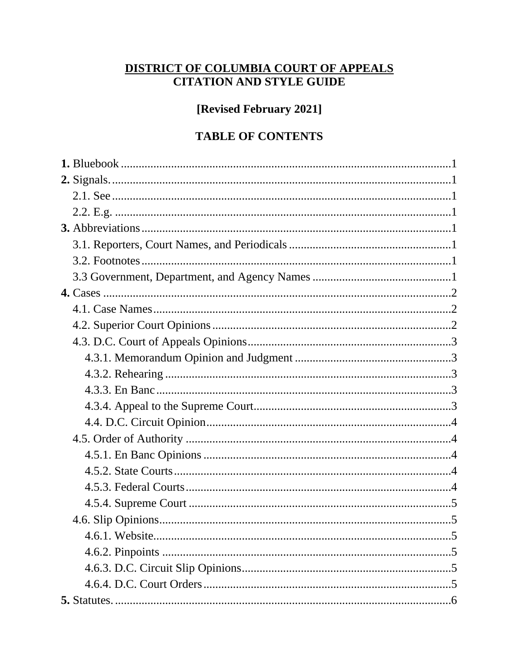# DISTRICT OF COLUMBIA COURT OF APPEALS<br>CITATION AND STYLE GUIDE

[Revised February 2021]

# **TABLE OF CONTENTS**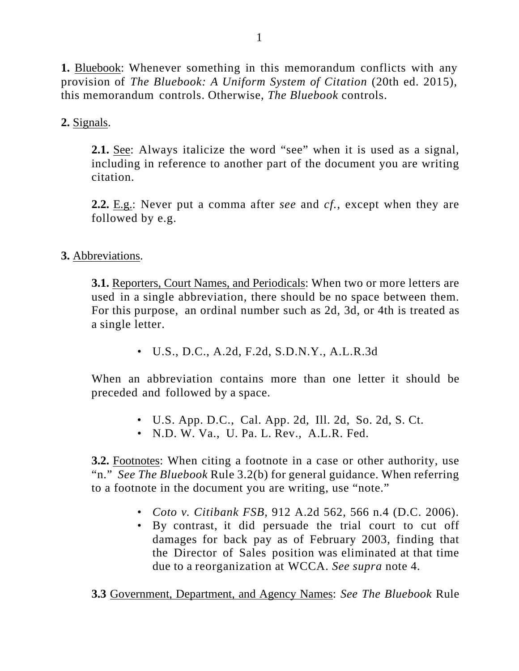**1.** Bluebook: Whenever something in this memorandum conflicts with any provision of *The Bluebook: A Uniform System of Citation* (20th ed. 2015), this memorandum controls. Otherwise, *The Bluebook* controls.

**2.** Signals.

**2.1.** See: Always italicize the word "see" when it is used as a signal, including in reference to another part of the document you are writing citation.

**2.2.** E.g.: Never put a comma after *see* and *cf.*, except when they are followed by e.g.

## **3.** Abbreviations.

**3.1.** Reporters, Court Names, and Periodicals: When two or more letters are used in a single abbreviation, there should be no space between them. For this purpose, an ordinal number such as 2d, 3d, or 4th is treated as a single letter.

• U.S., D.C., A.2d, F.2d, S.D.N.Y., A.L.R.3d

When an abbreviation contains more than one letter it should be preceded and followed by a space.

- U.S. App. D.C., Cal. App. 2d, Ill. 2d, So. 2d, S. Ct.
- N.D. W. Va., U. Pa. L. Rev., A.L.R. Fed.

**3.2.** Footnotes: When citing a footnote in a case or other authority, use "n." *See The Bluebook* Rule 3.2(b) for general guidance. When referring to a footnote in the document you are writing, use "note."

- *Coto v. Citibank FSB*, 912 A.2d 562, 566 n.4 (D.C. 2006).
- By contrast, it did persuade the trial court to cut off damages for back pay as of February 2003, finding that the Director of Sales position was eliminated at that time due to a reorganization at WCCA. *See supra* note 4.

**3.3** Government, Department, and Agency Names: *See The Bluebook* Rule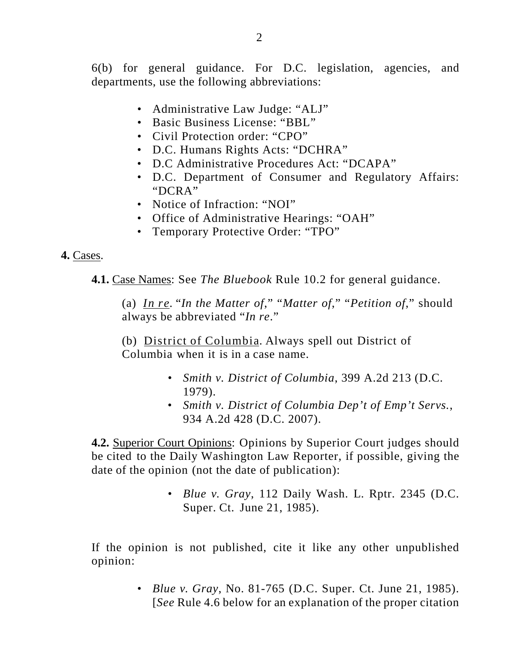6(b) for general guidance. For D.C. legislation, agencies, and departments, use the following abbreviations:

- Administrative Law Judge: "ALJ"
- Basic Business License: "BBL"
- Civil Protection order: "CPO"
- D.C. Humans Rights Acts: "DCHRA"
- D.C Administrative Procedures Act: "DCAPA"
- D.C. Department of Consumer and Regulatory Affairs: "DCRA"
- Notice of Infraction: "NOI"
- Office of Administrative Hearings: "OAH"
- Temporary Protective Order: "TPO"

#### **4.** Cases.

**4.1.** Case Names: See *The Bluebook* Rule 10.2 for general guidance.

(a) *In re*. "*In the Matter of*," "*Matter of*," "*Petition of*," should always be abbreviated "*In re*."

(b) District of Columbia. Always spell out District of Columbia when it is in a case name.

- *Smith v. District of Columbia*, 399 A.2d 213 (D.C. 1979).
- *Smith v. District of Columbia Dep't of Emp't Servs.*, 934 A.2d 428 (D.C. 2007).

**4.2.** Superior Court Opinions: Opinions by Superior Court judges should be cited to the Daily Washington Law Reporter, if possible, giving the date of the opinion (not the date of publication):

> • *Blue v. Gray*, 112 Daily Wash. L. Rptr. 2345 (D.C. Super. Ct. June 21, 1985).

If the opinion is not published, cite it like any other unpublished opinion:

> • *Blue v. Gray*, No. 81-765 (D.C. Super. Ct. June 21, 1985). [*See* Rule 4.6 below for an explanation of the proper citation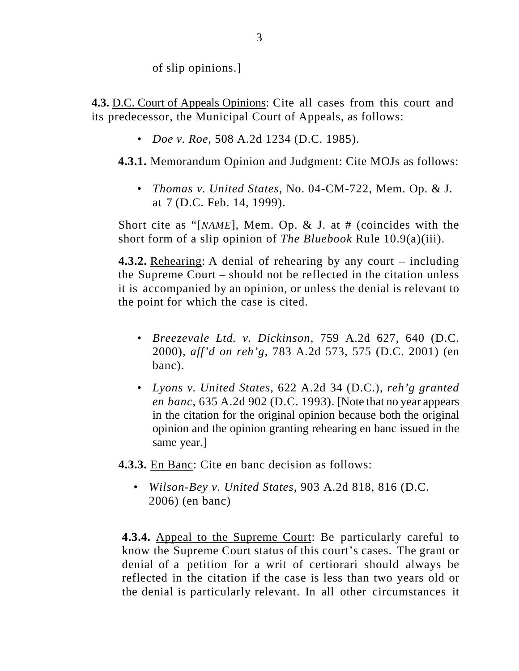of slip opinions.]

**4.3.** D.C. Court of Appeals Opinions: Cite all cases from this court and its predecessor, the Municipal Court of Appeals, as follows:

• *Doe v. Roe*, 508 A.2d 1234 (D.C. 1985).

## **4.3.1.** Memorandum Opinion and Judgment: Cite MOJs as follows:

• *Thomas v. United States*, No. 04-CM-722, Mem. Op. & J. at 7 (D.C. Feb. 14, 1999).

Short cite as "[*NAME*], Mem. Op. & J. at # (coincides with the short form of a slip opinion of *The Bluebook* Rule 10.9(a)(iii).

**4.3.2.** Rehearing: A denial of rehearing by any court – including the Supreme Court – should not be reflected in the citation unless it is accompanied by an opinion, or unless the denial is relevant to the point for which the case is cited.

- *Breezevale Ltd. v. Dickinson*, 759 A.2d 627, 640 (D.C. 2000), *aff'd on reh'g*, 783 A.2d 573, 575 (D.C. 2001) (en banc).
- *Lyons v. United States*, 622 A.2d 34 (D.C.), *reh'g granted en banc*, 635 A.2d 902 (D.C. 1993). [Note that no year appears in the citation for the original opinion because both the original opinion and the opinion granting rehearing en banc issued in the same year.]

**4.3.3.** En Banc: Cite en banc decision as follows:

• *Wilson-Bey v. United States*, 903 A.2d 818, 816 (D.C. 2006) (en banc)

**4.3.4.** Appeal to the Supreme Court: Be particularly careful to know the Supreme Court status of this court's cases. The grant or denial of a petition for a writ of certiorari should always be reflected in the citation if the case is less than two years old or the denial is particularly relevant. In all other circumstances it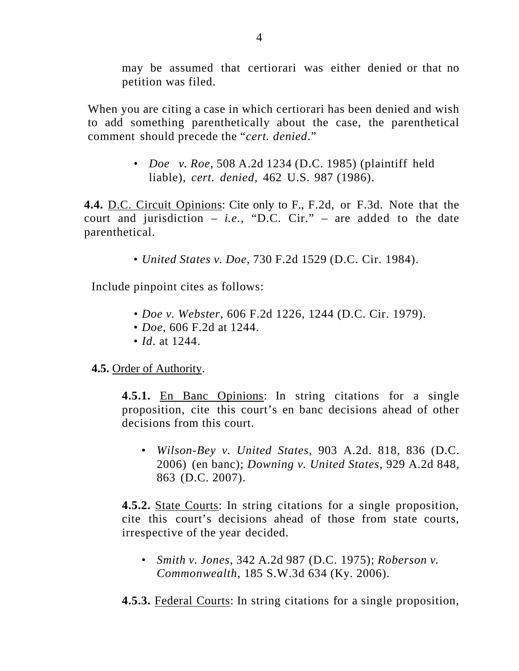may be assumed that certiorari was either denied or that no petition was filed.

When you are citing a case in which certiorari has been denied and wish to add something parenthetically about the case, the parenthetical comment should precede the "*cert. denied*."

> • *Doe v. Roe*, 508 A.2d 1234 (D.C. 1985) (plaintiff held liable), *cert. denied*, 462 U.S. 987 (1986).

**4.4.** D.C. Circuit Opinions: Cite only to F., F.2d, or F.3d. Note that the court and jurisdiction  $-$  *i.e.*, "D.C. Cir."  $-$  are added to the date parenthetical.

• *United States v. Doe*, 730 F.2d 1529 (D.C. Cir. 1984).

Include pinpoint cites as follows:

- *Doe v. Webster*, 606 F.2d 1226, 1244 (D.C. Cir. 1979).
- *Doe*, 606 F.2d at 1244.
- *Id.* at 1244.

## **4.5.** Order of Authority.

**4.5.1.** En Banc Opinions: In string citations for a single proposition, cite this court's en banc decisions ahead of other decisions from this court.

• *Wilson-Bey v. United States*, 903 A.2d. 818, 836 (D.C. 2006) (en banc); *Downing v. United States*, 929 A.2d 848, 863 (D.C. 2007).

**4.5.2.** State Courts: In string citations for a single proposition, cite this court's decisions ahead of those from state courts, irrespective of the year decided.

• *Smith v. Jones*, 342 A.2d 987 (D.C. 1975); *Roberson v. Commonwealth*, 185 S.W.3d 634 (Ky. 2006).

**4.5.3.** Federal Courts: In string citations for a single proposition,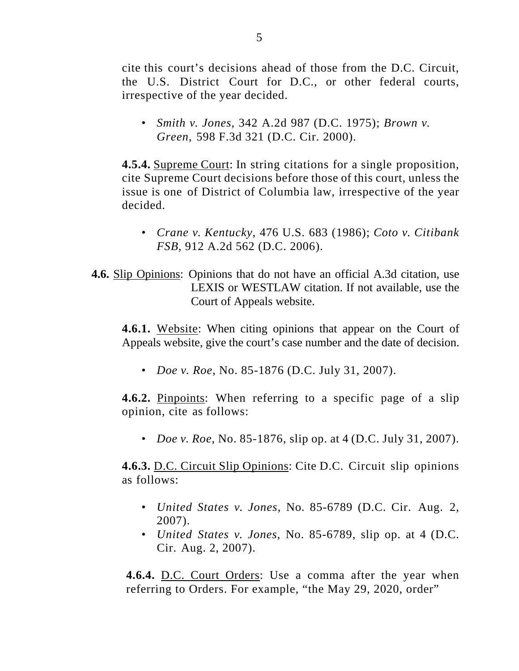cite this court's decisions ahead of those from the D.C. Circuit, the U.S. District Court for D.C., or other federal courts, irrespective of the year decided.

• *Smith v. Jones*, 342 A.2d 987 (D.C. 1975); *Brown v. Green*, 598 F.3d 321 (D.C. Cir. 2000).

**4.5.4.** Supreme Court: In string citations for a single proposition, cite Supreme Court decisions before those of this court, unless the issue is one of District of Columbia law, irrespective of the year decided.

- *Crane v. Kentucky*, 476 U.S. 683 (1986); *Coto v. Citibank FSB*, 912 A.2d 562 (D.C. 2006).
- **4.6.** Slip Opinions: Opinions that do not have an official A.3d citation, use LEXIS or WESTLAW citation. If not available, use the Court of Appeals website.

**4.6.1.** Website: When citing opinions that appear on the Court of Appeals website, give the court's case number and the date of decision.

• *Doe v. Roe*, No. 85-1876 (D.C. July 31, 2007).

**4.6.2.** Pinpoints: When referring to a specific page of a slip opinion, cite as follows:

• *Doe v. Roe*, No. 85-1876, slip op. at 4 (D.C. July 31, 2007).

**4.6.3.** D.C. Circuit Slip Opinions: Cite D.C. Circuit slip opinions as follows:

- *United States v. Jones*, No. 85-6789 (D.C. Cir. Aug. 2, 2007).
- *United States v. Jones*, No. 85-6789, slip op. at 4 (D.C. Cir. Aug. 2, 2007).

**4.6.4.** D.C. Court Orders: Use a comma after the year when referring to Orders. For example, "the May 29, 2020, order"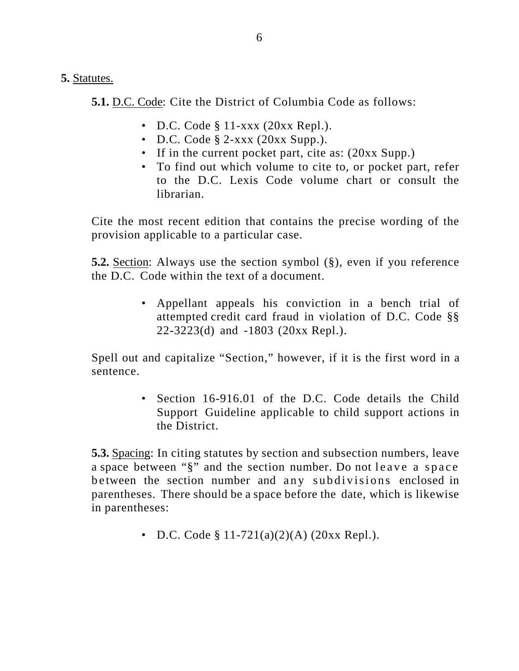**5.** Statutes.

**5.1.** D.C. Code: Cite the District of Columbia Code as follows:

- D.C. Code § 11-xxx (20xx Repl.).
- D.C. Code § 2-xxx (20xx Supp.).
- If in the current pocket part, cite as:  $(20xx \text{ Supp.})$
- To find out which volume to cite to, or pocket part, refer to the D.C. Lexis Code volume chart or consult the librarian.

Cite the most recent edition that contains the precise wording of the provision applicable to a particular case.

**5.2.** Section: Always use the section symbol (§), even if you reference the D.C. Code within the text of a document.

> • Appellant appeals his conviction in a bench trial of attempted credit card fraud in violation of D.C. Code §§ 22-3223(d) and -1803 (20xx Repl.).

Spell out and capitalize "Section," however, if it is the first word in a sentence.

> • Section 16-916.01 of the D.C. Code details the Child Support Guideline applicable to child support actions in the District.

**5.3.** Spacing: In citing statutes by section and subsection numbers, leave a space between "§" and the section number. Do not leave a space between the section number and any subdivisions enclosed in parentheses. There should be a space before the date, which is likewise in parentheses:

• D.C. Code § 11-721(a)(2)(A) (20xx Repl.).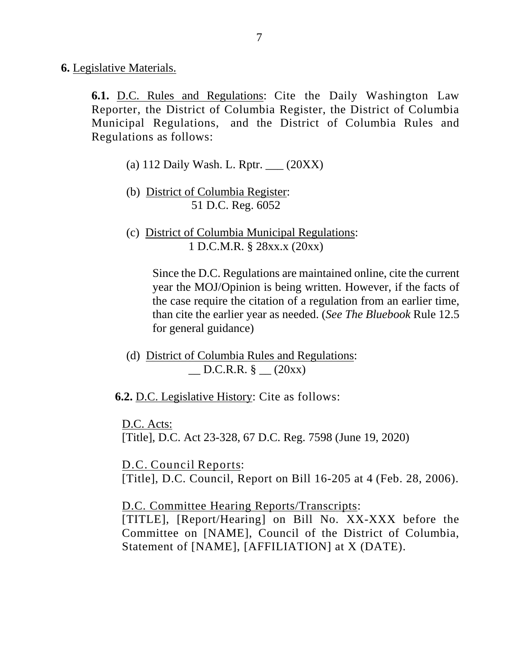**6.** Legislative Materials.

**6.1.** D.C. Rules and Regulations: Cite the Daily Washington Law Reporter, the District of Columbia Register, the District of Columbia Municipal Regulations, and the District of Columbia Rules and Regulations as follows:

- (a) 112 Daily Wash. L. Rptr. \_\_\_ (20XX)
- (b) District of Columbia Register: 51 D.C. Reg. 6052
- (c) District of Columbia Municipal Regulations: 1 D.C.M.R. § 28xx.x (20xx)

Since the D.C. Regulations are maintained online, cite the current year the MOJ/Opinion is being written. However, if the facts of the case require the citation of a regulation from an earlier time, than cite the earlier year as needed. (*See The Bluebook* Rule 12.5 for general guidance)

(d) District of Columbia Rules and Regulations:  $D.C.R.R. §$   $(20xx)$ 

**6.2.** D.C. Legislative History: Cite as follows:

D.C. Acts:

[Title], D.C. Act 23-328, 67 D.C. Reg. 7598 (June 19, 2020)

D.C. Council Reports: [Title], D.C. Council, Report on Bill 16-205 at 4 (Feb. 28, 2006).

D.C. Committee Hearing Reports/Transcripts:

[TITLE], [Report/Hearing] on Bill No. XX-XXX before the Committee on [NAME], Council of the District of Columbia, Statement of [NAME], [AFFILIATION] at X (DATE).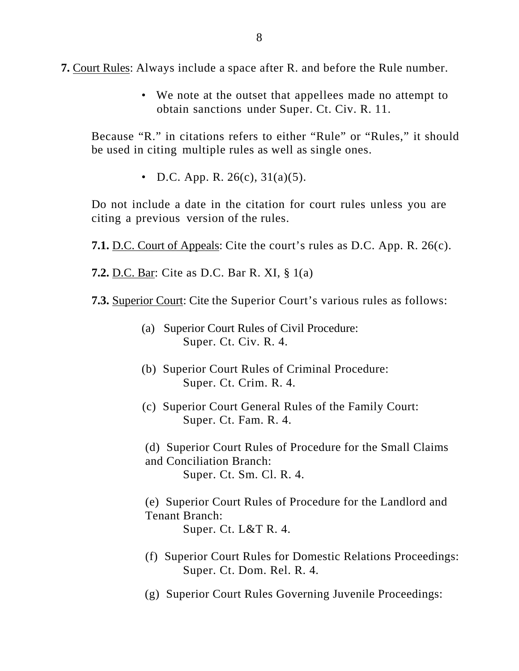**7.** Court Rules: Always include a space after R. and before the Rule number.

• We note at the outset that appellees made no attempt to obtain sanctions under Super. Ct. Civ. R. 11.

Because "R." in citations refers to either "Rule" or "Rules," it should be used in citing multiple rules as well as single ones.

• D.C. App. R.  $26(c)$ ,  $31(a)(5)$ .

Do not include a date in the citation for court rules unless you are citing a previous version of the rules.

**7.1.** D.C. Court of Appeals: Cite the court's rules as D.C. App. R. 26(c).

**7.2.** D.C. Bar: Cite as D.C. Bar R. XI, § 1(a)

- **7.3.** Superior Court: Cite the Superior Court's various rules as follows:
	- (a) Superior Court Rules of Civil Procedure: Super. Ct. Civ. R. 4.
	- (b) Superior Court Rules of Criminal Procedure: Super. Ct. Crim. R. 4.
	- (c) Superior Court General Rules of the Family Court: Super. Ct. Fam. R. 4.
	- (d) Superior Court Rules of Procedure for the Small Claims and Conciliation Branch: Super. Ct. Sm. Cl. R. 4.

(e) Superior Court Rules of Procedure for the Landlord and Tenant Branch:

Super. Ct. L&T R. 4.

- (f) Superior Court Rules for Domestic Relations Proceedings: Super. Ct. Dom. Rel. R. 4.
- (g) Superior Court Rules Governing Juvenile Proceedings: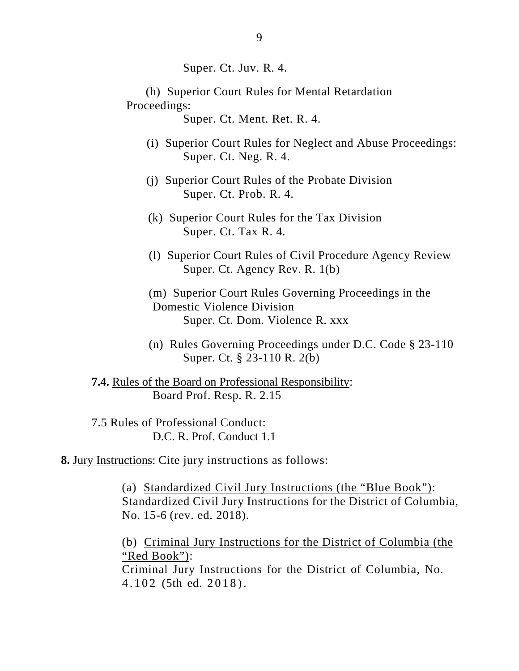Super. Ct. Juv. R. 4.

 (h) Superior Court Rules for Mental Retardation Proceedings:

Super. Ct. Ment. Ret. R. 4.

- (i) Superior Court Rules for Neglect and Abuse Proceedings: Super. Ct. Neg. R. 4.
- (j) Superior Court Rules of the Probate Division Super. Ct. Prob. R. 4.
- (k) Superior Court Rules for the Tax Division Super. Ct. Tax R. 4.
- (l) Superior Court Rules of Civil Procedure Agency Review Super. Ct. Agency Rev. R. 1(b)
- (m) Superior Court Rules Governing Proceedings in the Domestic Violence Division Super. Ct. Dom. Violence R. xxx
- (n) Rules Governing Proceedings under D.C. Code § 23-110 Super. Ct. § 23-110 R. 2(b)

**7.4.** Rules of the Board on Professional Responsibility: Board Prof. Resp. R. 2.15

7.5 Rules of Professional Conduct: D.C. R. Prof. Conduct 1.1

**8.** Jury Instructions: Cite jury instructions as follows:

(a) Standardized Civil Jury Instructions (the "Blue Book"): Standardized Civil Jury Instructions for the District of Columbia, No. 15-6 (rev. ed. 2018).

(b) Criminal Jury Instructions for the District of Columbia (the "Red Book"): Criminal Jury Instructions for the District of Columbia, No.

4.102 (5th ed. 2018).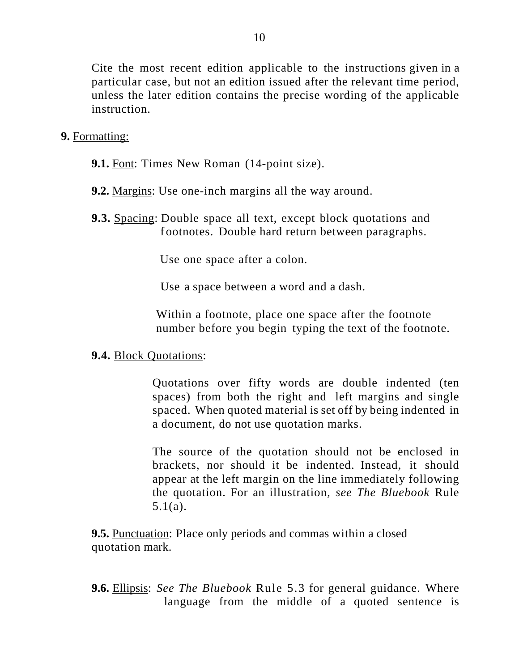Cite the most recent edition applicable to the instructions given in a particular case, but not an edition issued after the relevant time period, unless the later edition contains the precise wording of the applicable instruction.

## **9.** Formatting:

- **9.1.** Font: Times New Roman (14-point size).
- **9.2.** Margins: Use one-inch margins all the way around.
- **9.3.** Spacing: Double space all text, except block quotations and f ootnotes. Double hard return between paragraphs.

Use one space after a colon.

Use a space between a word and a dash.

Within a footnote, place one space after the footnote number before you begin typing the text of the footnote.

## **9.4.** Block Quotations:

Quotations over fifty words are double indented (ten spaces) from both the right and left margins and single spaced. When quoted material is set off by being indented in a document, do not use quotation marks.

The source of the quotation should not be enclosed in brackets, nor should it be indented. Instead, it should appear at the left margin on the line immediately following the quotation. For an illustration, *see The Bluebook* Rule 5.1(a).

**9.5.** Punctuation: Place only periods and commas within a closed quotation mark.

**9.6.** Ellipsis: *See The Bluebook* Rule 5.3 for general guidance. Where language from the middle of a quoted sentence is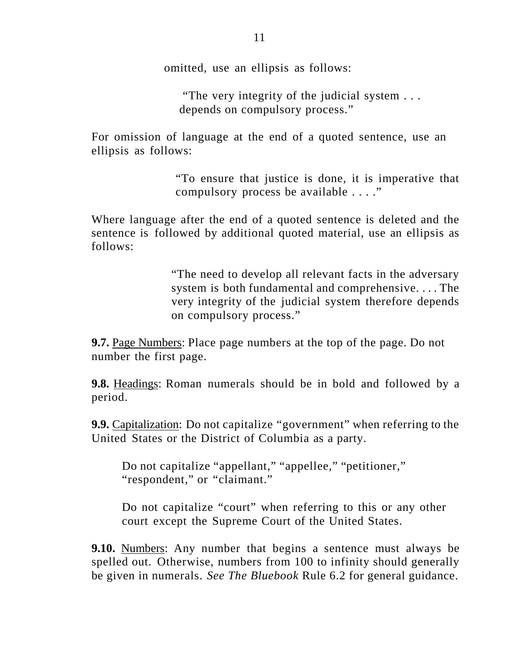omitted, use an ellipsis as follows:

"The very integrity of the judicial system . . . depends on compulsory process."

For omission of language at the end of a quoted sentence, use an ellipsis as follows:

> "To ensure that justice is done, it is imperative that compulsory process be available . . . ."

Where language after the end of a quoted sentence is deleted and the sentence is followed by additional quoted material, use an ellipsis as follows:

> "The need to develop all relevant facts in the adversary system is both fundamental and comprehensive. . . . The very integrity of the judicial system therefore depends on compulsory process."

**9.7.** Page Numbers: Place page numbers at the top of the page. Do not number the first page.

**9.8.** Headings: Roman numerals should be in bold and followed by a period.

**9.9.** Capitalization: Do not capitalize "government" when referring to the United States or the District of Columbia as a party.

Do not capitalize "appellant," "appellee," "petitioner," "respondent," or "claimant."

Do not capitalize "court" when referring to this or any other court except the Supreme Court of the United States.

**9.10.** Numbers: Any number that begins a sentence must always be spelled out. Otherwise, numbers from 100 to infinity should generally be given in numerals. *See The Bluebook* Rule 6.2 for general guidance.